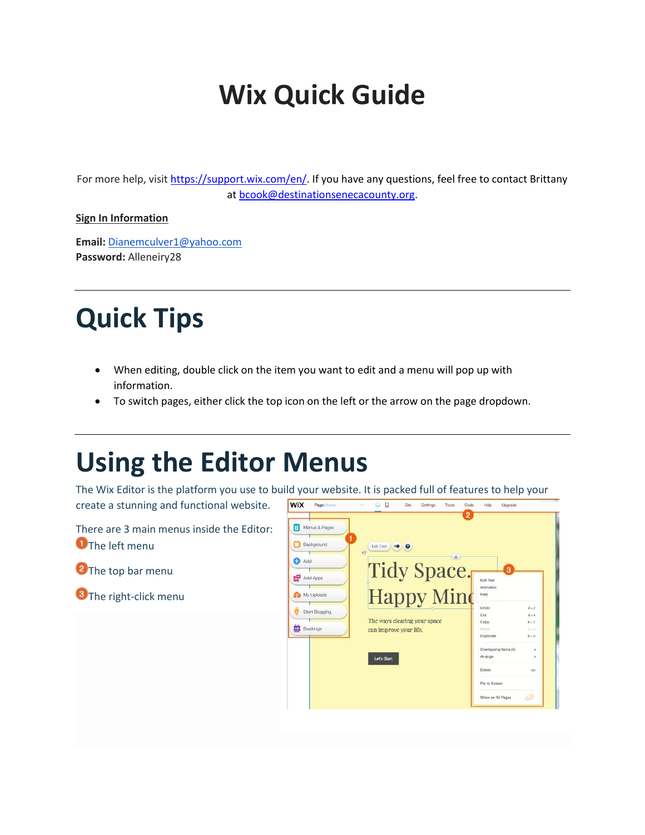## **Wix Quick Guide**

For more help, visit [https://support.wix.com/en/.](https://support.wix.com/en/) If you have any questions, feel free to contact Brittany at [bcook@destinationsenecacounty.org.](mailto:bcook@destinationsenecacounty.org)

#### **Sign In Information**

**Email:** [Dianemculver1@yahoo.com](mailto:Dianemculver1@yahoo.com) **Password:** Alleneiry28

### **Quick Tips**

- When editing, double click on the item you want to edit and a menu will pop up with information.
- To switch pages, either click the top icon on the left or the arrow on the page dropdown.

### **Using the Editor Menus**

The Wix Editor is the platform you use to build your website. It is packed full of features to help your Page:

**WIX** 

create a stunning and functional website.



 $\Box$ 

Settings

 $Sita$ 

Tools  $C$ ode Help Lingrad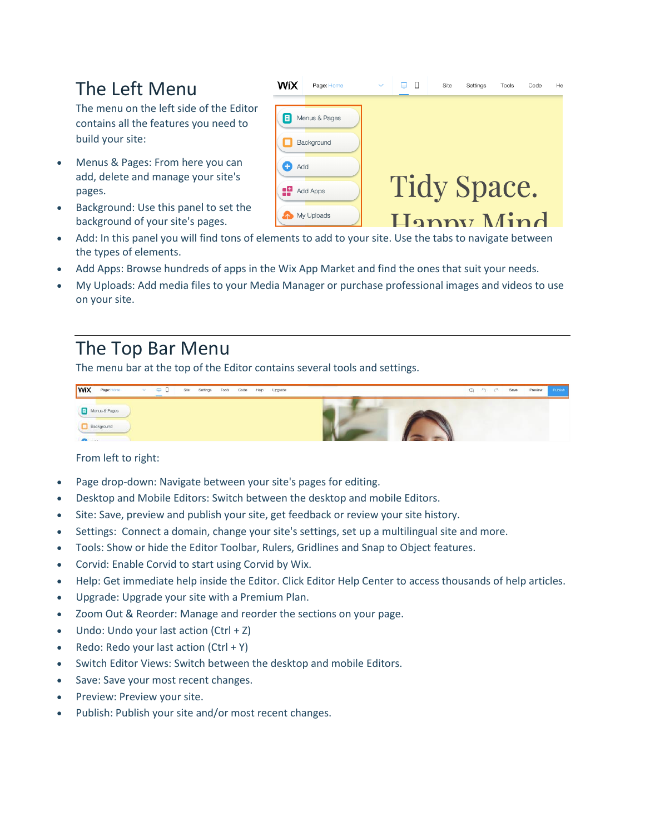#### The Left Menu

The menu on the left side of the Editor contains all the features you need to build your site:

- Menus & Pages: From here you can add, delete and manage your site's pages.
- Background: Use this panel to set the background of your site's pages.
- Add: In this panel you will find tons of elements to add to your site. Use the tabs to navigate between the types of elements.
- Add Apps: Browse hundreds of apps in the Wix App Market and find the ones that suit your needs.
- My Uploads: Add media files to your Media Manager or purchase professional images and videos to use on your site.

#### The Top Bar Menu

The menu bar at the top of the Editor contains several tools and settings.

| WIX<br>$\Box$<br>Page: Home<br>$\Box$<br>Settings<br>Tools Code Help Upgrade<br>Site<br>$\sim$ | Save<br>$Q \gamma c$<br>Preview<br><b>Publish</b> |
|------------------------------------------------------------------------------------------------|---------------------------------------------------|
| Menus & Pages                                                                                  |                                                   |
| Background<br><b>COLLECTION</b>                                                                |                                                   |

From left to right:

- Page drop-down: Navigate between your site's pages for editing.
- Desktop and Mobile Editors: Switch between the desktop and mobile Editors.
- Site: Save, preview and publish your site, get feedback or review your site history.
- Settings: Connect a domain, change your site's settings, set up a multilingual site and more.
- Tools: Show or hide the Editor Toolbar, Rulers, Gridlines and Snap to Object features.
- Corvid: Enable Corvid to start using Corvid by Wix.
- Help: Get immediate help inside the Editor. Click Editor Help Center to access thousands of help articles.
- Upgrade: Upgrade your site with a Premium Plan.
- Zoom Out & Reorder: Manage and reorder the sections on your page.
- Undo: Undo your last action (Ctrl + Z)
- Redo: Redo your last action  $(CtrI + Y)$
- Switch Editor Views: Switch between the desktop and mobile Editors.
- Save: Save your most recent changes.
- Preview: Preview your site.
- Publish: Publish your site and/or most recent changes.

| WiX | Page: Home    | $\checkmark$ |                    | Site | Settings | Tools | Code | He |
|-----|---------------|--------------|--------------------|------|----------|-------|------|----|
| 目   | Menus & Pages |              |                    |      |          |       |      |    |
| Add | Background    |              |                    |      |          |       |      |    |
| æ   | Add Apps      |              | <b>Tidy Space.</b> |      |          |       |      |    |
|     | My Uploads    |              | Hanny Mind         |      |          |       |      |    |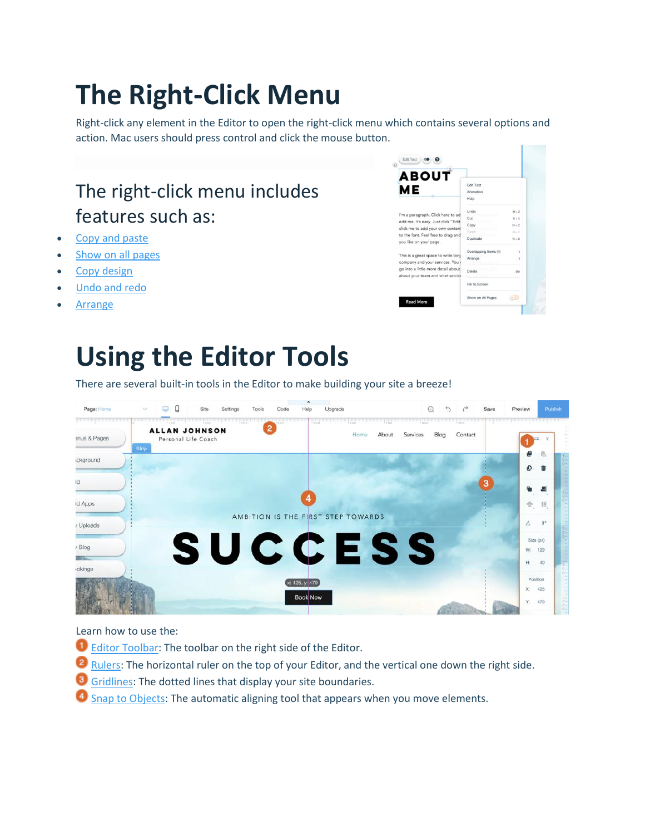## **The Right-Click Menu**

Right-click any element in the Editor to open the right-click menu which contains several options and action. Mac users should press control and click the mouse button.

#### The right-click menu includes features such as:

- [Copy and paste](https://support.wix.com/en/new-wix-editor-june-2015/using-your-editor/kb/copying-and-pasting-an-element)
- [Show on all pages](https://support.wix.com/en/new-wix-editor-june-2015/using-your-editor/kb/showing-an-element-on-all-pages-6533570)
- [Copy design](https://support.wix.com/en/new-wix-editor-june-2015/using-your-editor/kb/copying-the-design-of-an-element-6579276)
- [Undo and redo](https://support.wix.com/en/new-wix-editor-june-2015/using-your-editor/kb/undoing-and-redoing-actions)
- **[Arrange](https://support.wix.com/en/new-wix-editor-june-2015/using-your-editor/kb/moving-elements-forward-and-backward)**

## **Using the Editor Tools**

There are several built-in tools in the Editor to make building your site a breeze!



Learn how to use the:

- **D** [Editor Toolbar:](https://support.wix.com/en/new-wix-editor-june-2015/using-your-editor/kb/editor-toolbar) The toolbar on the right side of the Editor.
- **2** [Rulers:](https://support.wix.com/en/article/about-rulers-and-guides) The horizontal ruler on the top of your Editor, and the vertical one down the right side.
- **G** [Gridlines:](https://support.wix.com/en/new-wix-editor-june-2015/using-your-editor/kb/editor-gridlines) The dotted lines that display your site boundaries.
- <sup>4</sup> [Snap to Objects:](https://support.wix.com/en/new-wix-editor-june-2015/using-your-editor/kb/using-the-snap-to-objects-tool) The automatic aligning tool that appears when you move elements.

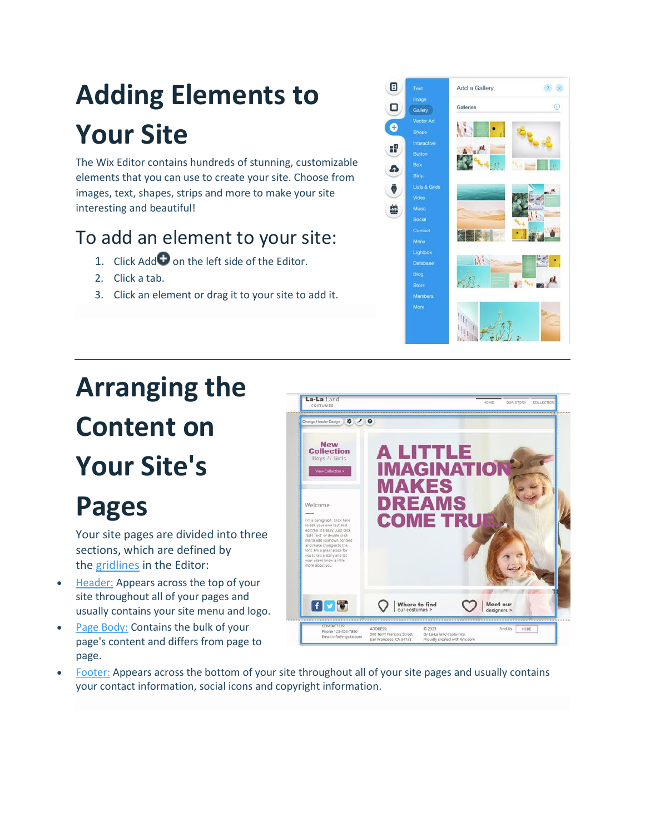## **Adding Elements to Your Site**

The Wix Editor contains hundreds of stunning, customizable elements that you can use to create your site. Choose from images, text, shapes, strips and more to make your site interesting and beautiful!

### To add an element to your site:

- 1. Click Add  $\bigoplus$  on the left side of the Editor.
- 2. Click a tab.
- 3. Click an element or drag it to your site to add it.



# **Arranging the Content on Your Site's**

## **Pages**

Your site pages are divided into three sections, which are defined by the [gridlines](https://support.wix.com/en/new-wix-editor-june-2015/using-your-editor/kb/editor-gridlines) in the Editor:

- [Header:](https://support.wix.com/en/getting-started/site-layout/kb/about-the-header) Appears across the top of your site throughout all of your pages and usually contains your site menu and logo.
- [Page Body:](https://support.wix.com/en/new-wix-editor-june-2015/page-structure/kb/page-body-6071272) Contains the bulk of your page's content and differs from page to page.



• [Footer:](https://support.wix.com/en/new-wix-editor-june-2015/page-structure/kb/footer) Appears across the bottom of your site throughout all of your site pages and usually contains your contact information, social icons and copyright information.